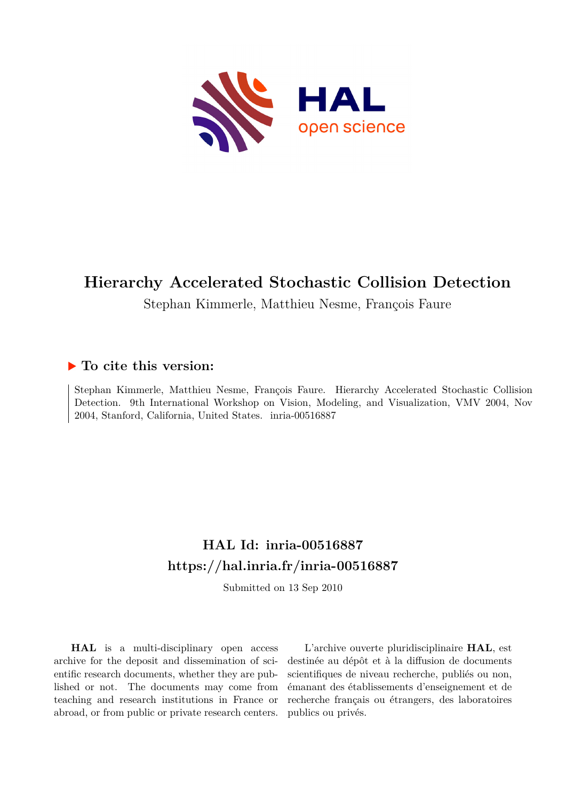

# **Hierarchy Accelerated Stochastic Collision Detection**

Stephan Kimmerle, Matthieu Nesme, François Faure

## **To cite this version:**

Stephan Kimmerle, Matthieu Nesme, François Faure. Hierarchy Accelerated Stochastic Collision Detection. 9th International Workshop on Vision, Modeling, and Visualization, VMV 2004, Nov 2004, Stanford, California, United States. inria-00516887

# **HAL Id: inria-00516887 <https://hal.inria.fr/inria-00516887>**

Submitted on 13 Sep 2010

**HAL** is a multi-disciplinary open access archive for the deposit and dissemination of scientific research documents, whether they are published or not. The documents may come from teaching and research institutions in France or abroad, or from public or private research centers.

L'archive ouverte pluridisciplinaire **HAL**, est destinée au dépôt et à la diffusion de documents scientifiques de niveau recherche, publiés ou non, émanant des établissements d'enseignement et de recherche français ou étrangers, des laboratoires publics ou privés.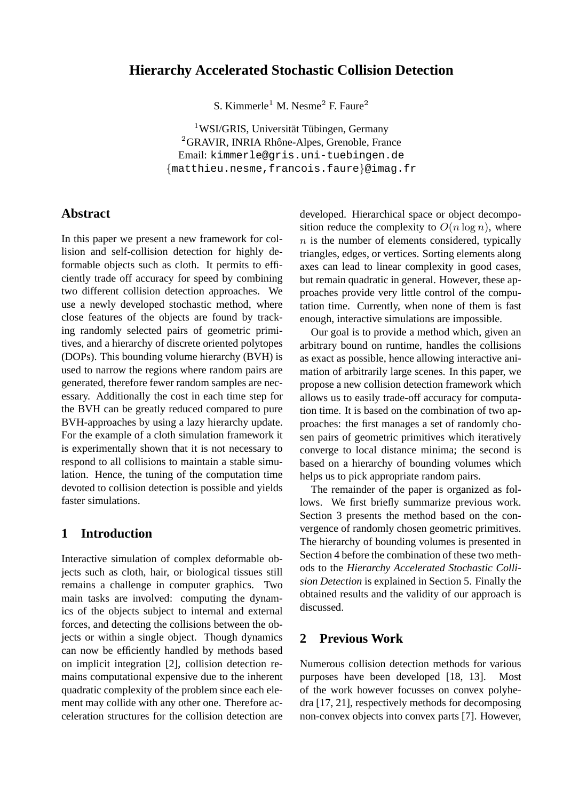## **Hierarchy Accelerated Stochastic Collision Detection**

S. Kimmerle<sup>1</sup> M. Nesme<sup>2</sup> F. Faure<sup>2</sup>

 $1$ WSI/GRIS, Universität Tübingen, Germany  ${}^{2}$ GRAVIR, INRIA Rhône-Alpes, Grenoble, France Email: kimmerle@gris.uni-tuebingen.de {matthieu.nesme,francois.faure}@imag.fr

#### **Abstract**

In this paper we present a new framework for collision and self-collision detection for highly deformable objects such as cloth. It permits to efficiently trade off accuracy for speed by combining two different collision detection approaches. We use a newly developed stochastic method, where close features of the objects are found by tracking randomly selected pairs of geometric primitives, and a hierarchy of discrete oriented polytopes (DOPs). This bounding volume hierarchy (BVH) is used to narrow the regions where random pairs are generated, therefore fewer random samples are necessary. Additionally the cost in each time step for the BVH can be greatly reduced compared to pure BVH-approaches by using a lazy hierarchy update. For the example of a cloth simulation framework it is experimentally shown that it is not necessary to respond to all collisions to maintain a stable simulation. Hence, the tuning of the computation time devoted to collision detection is possible and yields faster simulations.

## **1 Introduction**

Interactive simulation of complex deformable objects such as cloth, hair, or biological tissues still remains a challenge in computer graphics. Two main tasks are involved: computing the dynamics of the objects subject to internal and external forces, and detecting the collisions between the objects or within a single object. Though dynamics can now be efficiently handled by methods based on implicit integration [2], collision detection remains computational expensive due to the inherent quadratic complexity of the problem since each element may collide with any other one. Therefore acceleration structures for the collision detection are

developed. Hierarchical space or object decomposition reduce the complexity to  $O(n \log n)$ , where  $n$  is the number of elements considered, typically triangles, edges, or vertices. Sorting elements along axes can lead to linear complexity in good cases, but remain quadratic in general. However, these approaches provide very little control of the computation time. Currently, when none of them is fast enough, interactive simulations are impossible.

Our goal is to provide a method which, given an arbitrary bound on runtime, handles the collisions as exact as possible, hence allowing interactive animation of arbitrarily large scenes. In this paper, we propose a new collision detection framework which allows us to easily trade-off accuracy for computation time. It is based on the combination of two approaches: the first manages a set of randomly chosen pairs of geometric primitives which iteratively converge to local distance minima; the second is based on a hierarchy of bounding volumes which helps us to pick appropriate random pairs.

The remainder of the paper is organized as follows. We first briefly summarize previous work. Section 3 presents the method based on the convergence of randomly chosen geometric primitives. The hierarchy of bounding volumes is presented in Section 4 before the combination of these two methods to the *Hierarchy Accelerated Stochastic Collision Detection* is explained in Section 5. Finally the obtained results and the validity of our approach is discussed.

## **2 Previous Work**

Numerous collision detection methods for various purposes have been developed [18, 13]. Most of the work however focusses on convex polyhedra [17, 21], respectively methods for decomposing non-convex objects into convex parts [7]. However,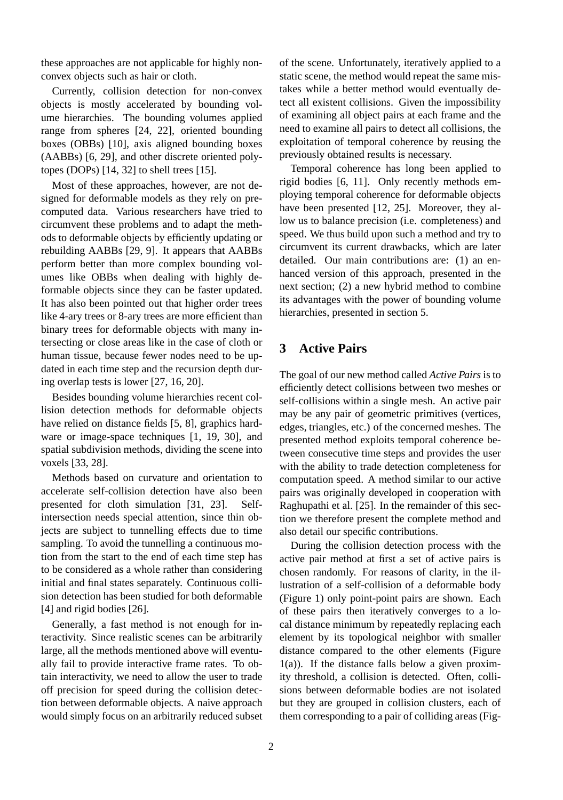these approaches are not applicable for highly nonconvex objects such as hair or cloth.

Currently, collision detection for non-convex objects is mostly accelerated by bounding volume hierarchies. The bounding volumes applied range from spheres [24, 22], oriented bounding boxes (OBBs) [10], axis aligned bounding boxes (AABBs) [6, 29], and other discrete oriented polytopes (DOPs) [14, 32] to shell trees [15].

Most of these approaches, however, are not designed for deformable models as they rely on precomputed data. Various researchers have tried to circumvent these problems and to adapt the methods to deformable objects by efficiently updating or rebuilding AABBs [29, 9]. It appears that AABBs perform better than more complex bounding volumes like OBBs when dealing with highly deformable objects since they can be faster updated. It has also been pointed out that higher order trees like 4-ary trees or 8-ary trees are more efficient than binary trees for deformable objects with many intersecting or close areas like in the case of cloth or human tissue, because fewer nodes need to be updated in each time step and the recursion depth during overlap tests is lower [27, 16, 20].

Besides bounding volume hierarchies recent collision detection methods for deformable objects have relied on distance fields [5, 8], graphics hardware or image-space techniques [1, 19, 30], and spatial subdivision methods, dividing the scene into voxels [33, 28].

Methods based on curvature and orientation to accelerate self-collision detection have also been presented for cloth simulation [31, 23]. Selfintersection needs special attention, since thin objects are subject to tunnelling effects due to time sampling. To avoid the tunnelling a continuous motion from the start to the end of each time step has to be considered as a whole rather than considering initial and final states separately. Continuous collision detection has been studied for both deformable [4] and rigid bodies [26].

Generally, a fast method is not enough for interactivity. Since realistic scenes can be arbitrarily large, all the methods mentioned above will eventually fail to provide interactive frame rates. To obtain interactivity, we need to allow the user to trade off precision for speed during the collision detection between deformable objects. A naive approach would simply focus on an arbitrarily reduced subset

of the scene. Unfortunately, iteratively applied to a static scene, the method would repeat the same mistakes while a better method would eventually detect all existent collisions. Given the impossibility of examining all object pairs at each frame and the need to examine all pairs to detect all collisions, the exploitation of temporal coherence by reusing the previously obtained results is necessary.

Temporal coherence has long been applied to rigid bodies [6, 11]. Only recently methods employing temporal coherence for deformable objects have been presented [12, 25]. Moreover, they allow us to balance precision (i.e. completeness) and speed. We thus build upon such a method and try to circumvent its current drawbacks, which are later detailed. Our main contributions are: (1) an enhanced version of this approach, presented in the next section; (2) a new hybrid method to combine its advantages with the power of bounding volume hierarchies, presented in section 5.

## **3 Active Pairs**

The goal of our new method called *Active Pairs* is to efficiently detect collisions between two meshes or self-collisions within a single mesh. An active pair may be any pair of geometric primitives (vertices, edges, triangles, etc.) of the concerned meshes. The presented method exploits temporal coherence between consecutive time steps and provides the user with the ability to trade detection completeness for computation speed. A method similar to our active pairs was originally developed in cooperation with Raghupathi et al. [25]. In the remainder of this section we therefore present the complete method and also detail our specific contributions.

During the collision detection process with the active pair method at first a set of active pairs is chosen randomly. For reasons of clarity, in the illustration of a self-collision of a deformable body (Figure 1) only point-point pairs are shown. Each of these pairs then iteratively converges to a local distance minimum by repeatedly replacing each element by its topological neighbor with smaller distance compared to the other elements (Figure  $1(a)$ ). If the distance falls below a given proximity threshold, a collision is detected. Often, collisions between deformable bodies are not isolated but they are grouped in collision clusters, each of them corresponding to a pair of colliding areas (Fig-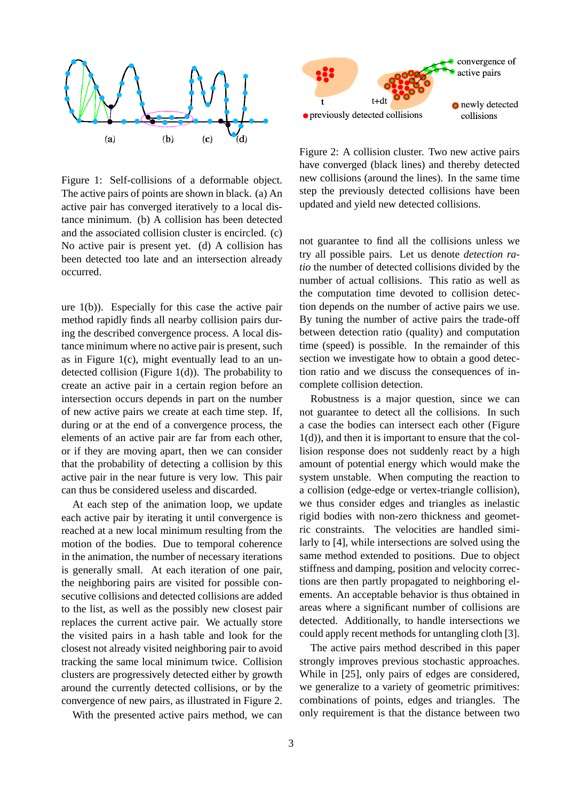

Figure 1: Self-collisions of a deformable object. The active pairs of points are shown in black. (a) An active pair has converged iteratively to a local distance minimum. (b) A collision has been detected and the associated collision cluster is encircled. (c) No active pair is present yet. (d) A collision has been detected too late and an intersection already occurred.

ure 1(b)). Especially for this case the active pair method rapidly finds all nearby collision pairs during the described convergence process. A local distance minimum where no active pair is present, such as in Figure 1(c), might eventually lead to an undetected collision (Figure 1(d)). The probability to create an active pair in a certain region before an intersection occurs depends in part on the number of new active pairs we create at each time step. If, during or at the end of a convergence process, the elements of an active pair are far from each other, or if they are moving apart, then we can consider that the probability of detecting a collision by this active pair in the near future is very low. This pair can thus be considered useless and discarded.

At each step of the animation loop, we update each active pair by iterating it until convergence is reached at a new local minimum resulting from the motion of the bodies. Due to temporal coherence in the animation, the number of necessary iterations is generally small. At each iteration of one pair, the neighboring pairs are visited for possible consecutive collisions and detected collisions are added to the list, as well as the possibly new closest pair replaces the current active pair. We actually store the visited pairs in a hash table and look for the closest not already visited neighboring pair to avoid tracking the same local minimum twice. Collision clusters are progressively detected either by growth around the currently detected collisions, or by the convergence of new pairs, as illustrated in Figure 2.

With the presented active pairs method, we can



Figure 2: A collision cluster. Two new active pairs have converged (black lines) and thereby detected new collisions (around the lines). In the same time step the previously detected collisions have been updated and yield new detected collisions.

not guarantee to find all the collisions unless we try all possible pairs. Let us denote *detection ratio* the number of detected collisions divided by the number of actual collisions. This ratio as well as the computation time devoted to collision detection depends on the number of active pairs we use. By tuning the number of active pairs the trade-off between detection ratio (quality) and computation time (speed) is possible. In the remainder of this section we investigate how to obtain a good detection ratio and we discuss the consequences of incomplete collision detection.

Robustness is a major question, since we can not guarantee to detect all the collisions. In such a case the bodies can intersect each other (Figure 1(d)), and then it is important to ensure that the collision response does not suddenly react by a high amount of potential energy which would make the system unstable. When computing the reaction to a collision (edge-edge or vertex-triangle collision), we thus consider edges and triangles as inelastic rigid bodies with non-zero thickness and geometric constraints. The velocities are handled similarly to [4], while intersections are solved using the same method extended to positions. Due to object stiffness and damping, position and velocity corrections are then partly propagated to neighboring elements. An acceptable behavior is thus obtained in areas where a significant number of collisions are detected. Additionally, to handle intersections we could apply recent methods for untangling cloth [3].

The active pairs method described in this paper strongly improves previous stochastic approaches. While in [25], only pairs of edges are considered, we generalize to a variety of geometric primitives: combinations of points, edges and triangles. The only requirement is that the distance between two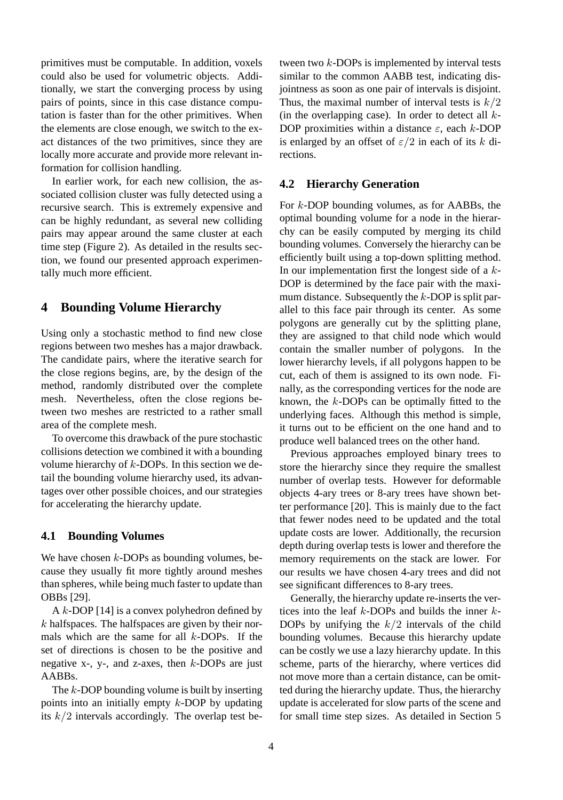primitives must be computable. In addition, voxels could also be used for volumetric objects. Additionally, we start the converging process by using pairs of points, since in this case distance computation is faster than for the other primitives. When the elements are close enough, we switch to the exact distances of the two primitives, since they are locally more accurate and provide more relevant information for collision handling.

In earlier work, for each new collision, the associated collision cluster was fully detected using a recursive search. This is extremely expensive and can be highly redundant, as several new colliding pairs may appear around the same cluster at each time step (Figure 2). As detailed in the results section, we found our presented approach experimentally much more efficient.

## **4 Bounding Volume Hierarchy**

Using only a stochastic method to find new close regions between two meshes has a major drawback. The candidate pairs, where the iterative search for the close regions begins, are, by the design of the method, randomly distributed over the complete mesh. Nevertheless, often the close regions between two meshes are restricted to a rather small area of the complete mesh.

To overcome this drawback of the pure stochastic collisions detection we combined it with a bounding volume hierarchy of  $k$ -DOPs. In this section we detail the bounding volume hierarchy used, its advantages over other possible choices, and our strategies for accelerating the hierarchy update.

#### **4.1 Bounding Volumes**

We have chosen  $k$ -DOPs as bounding volumes, because they usually fit more tightly around meshes than spheres, while being much faster to update than OBBs [29].

A  $k$ -DOP [14] is a convex polyhedron defined by  $k$  halfspaces. The halfspaces are given by their normals which are the same for all  $k$ -DOPs. If the set of directions is chosen to be the positive and negative  $x-$ ,  $y-$ , and  $z$ -axes, then  $k$ -DOPs are just AABBs.

The k-DOP bounding volume is built by inserting points into an initially empty k-DOP by updating its  $k/2$  intervals accordingly. The overlap test between two  $k$ -DOPs is implemented by interval tests similar to the common AABB test, indicating disjointness as soon as one pair of intervals is disjoint. Thus, the maximal number of interval tests is  $k/2$ (in the overlapping case). In order to detect all  $k$ -DOP proximities within a distance  $\varepsilon$ , each k-DOP is enlarged by an offset of  $\varepsilon/2$  in each of its k directions.

#### **4.2 Hierarchy Generation**

For k-DOP bounding volumes, as for AABBs, the optimal bounding volume for a node in the hierarchy can be easily computed by merging its child bounding volumes. Conversely the hierarchy can be efficiently built using a top-down splitting method. In our implementation first the longest side of a  $k$ -DOP is determined by the face pair with the maximum distance. Subsequently the  $k$ -DOP is split parallel to this face pair through its center. As some polygons are generally cut by the splitting plane, they are assigned to that child node which would contain the smaller number of polygons. In the lower hierarchy levels, if all polygons happen to be cut, each of them is assigned to its own node. Finally, as the corresponding vertices for the node are known, the k-DOPs can be optimally fitted to the underlying faces. Although this method is simple, it turns out to be efficient on the one hand and to produce well balanced trees on the other hand.

Previous approaches employed binary trees to store the hierarchy since they require the smallest number of overlap tests. However for deformable objects 4-ary trees or 8-ary trees have shown better performance [20]. This is mainly due to the fact that fewer nodes need to be updated and the total update costs are lower. Additionally, the recursion depth during overlap tests is lower and therefore the memory requirements on the stack are lower. For our results we have chosen 4-ary trees and did not see significant differences to 8-ary trees.

Generally, the hierarchy update re-inserts the vertices into the leaf  $k$ -DOPs and builds the inner  $k$ -DOPs by unifying the  $k/2$  intervals of the child bounding volumes. Because this hierarchy update can be costly we use a lazy hierarchy update. In this scheme, parts of the hierarchy, where vertices did not move more than a certain distance, can be omitted during the hierarchy update. Thus, the hierarchy update is accelerated for slow parts of the scene and for small time step sizes. As detailed in Section 5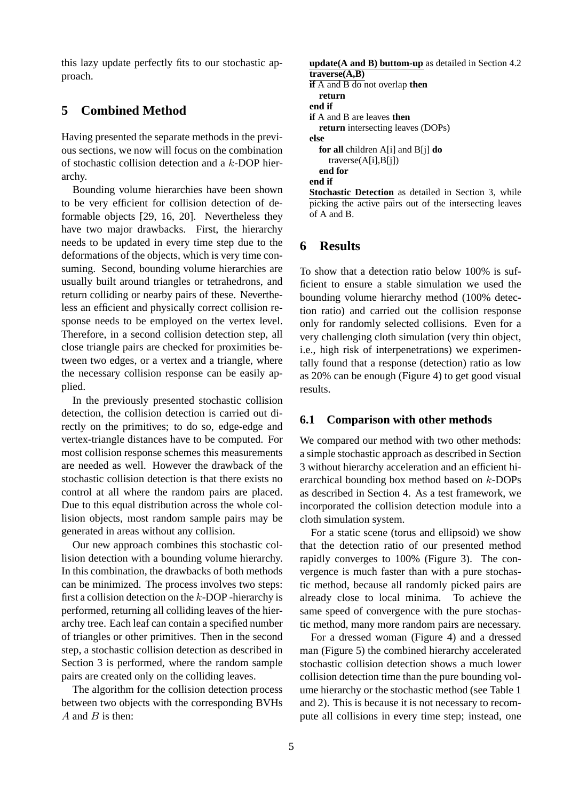this lazy update perfectly fits to our stochastic approach.

## **5 Combined Method**

Having presented the separate methods in the previous sections, we now will focus on the combination of stochastic collision detection and a k-DOP hierarchy.

Bounding volume hierarchies have been shown to be very efficient for collision detection of deformable objects [29, 16, 20]. Nevertheless they have two major drawbacks. First, the hierarchy needs to be updated in every time step due to the deformations of the objects, which is very time consuming. Second, bounding volume hierarchies are usually built around triangles or tetrahedrons, and return colliding or nearby pairs of these. Nevertheless an efficient and physically correct collision response needs to be employed on the vertex level. Therefore, in a second collision detection step, all close triangle pairs are checked for proximities between two edges, or a vertex and a triangle, where the necessary collision response can be easily applied.

In the previously presented stochastic collision detection, the collision detection is carried out directly on the primitives; to do so, edge-edge and vertex-triangle distances have to be computed. For most collision response schemes this measurements are needed as well. However the drawback of the stochastic collision detection is that there exists no control at all where the random pairs are placed. Due to this equal distribution across the whole collision objects, most random sample pairs may be generated in areas without any collision.

Our new approach combines this stochastic collision detection with a bounding volume hierarchy. In this combination, the drawbacks of both methods can be minimized. The process involves two steps: first a collision detection on the  $k$ -DOP -hierarchy is performed, returning all colliding leaves of the hierarchy tree. Each leaf can contain a specified number of triangles or other primitives. Then in the second step, a stochastic collision detection as described in Section 3 is performed, where the random sample pairs are created only on the colliding leaves.

The algorithm for the collision detection process between two objects with the corresponding BVHs  $A$  and  $B$  is then:

```
update(A and B) buttom-up as detailed in Section 4.2
traverse(A,B)
if A and B do not overlap then
  return
end if
if A and B are leaves then
  return intersecting leaves (DOPs)
else
  for all children A[i] and B[j] do
    traverse(A[i],B[j])
  end for
end if
Stochastic Detection as detailed in Section 3, while
picking the active pairs out of the intersecting leaves
```
### **6 Results**

of A and B.

To show that a detection ratio below 100% is sufficient to ensure a stable simulation we used the bounding volume hierarchy method (100% detection ratio) and carried out the collision response only for randomly selected collisions. Even for a very challenging cloth simulation (very thin object, i.e., high risk of interpenetrations) we experimentally found that a response (detection) ratio as low as 20% can be enough (Figure 4) to get good visual results.

#### **6.1 Comparison with other methods**

We compared our method with two other methods: a simple stochastic approach as described in Section 3 without hierarchy acceleration and an efficient hierarchical bounding box method based on k-DOPs as described in Section 4. As a test framework, we incorporated the collision detection module into a cloth simulation system.

For a static scene (torus and ellipsoid) we show that the detection ratio of our presented method rapidly converges to 100% (Figure 3). The convergence is much faster than with a pure stochastic method, because all randomly picked pairs are already close to local minima. To achieve the same speed of convergence with the pure stochastic method, many more random pairs are necessary.

For a dressed woman (Figure 4) and a dressed man (Figure 5) the combined hierarchy accelerated stochastic collision detection shows a much lower collision detection time than the pure bounding volume hierarchy or the stochastic method (see Table 1 and 2). This is because it is not necessary to recompute all collisions in every time step; instead, one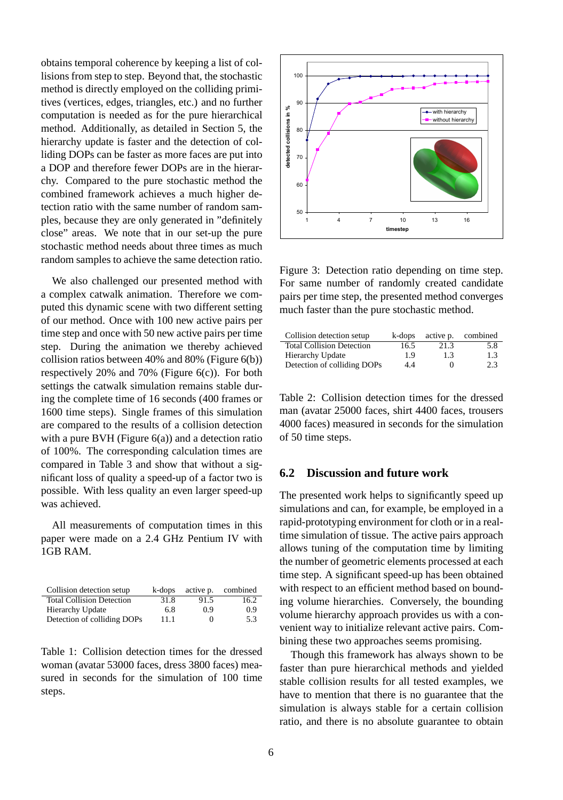obtains temporal coherence by keeping a list of collisions from step to step. Beyond that, the stochastic method is directly employed on the colliding primitives (vertices, edges, triangles, etc.) and no further computation is needed as for the pure hierarchical method. Additionally, as detailed in Section 5, the hierarchy update is faster and the detection of colliding DOPs can be faster as more faces are put into a DOP and therefore fewer DOPs are in the hierarchy. Compared to the pure stochastic method the combined framework achieves a much higher detection ratio with the same number of random samples, because they are only generated in "definitely close" areas. We note that in our set-up the pure stochastic method needs about three times as much random samples to achieve the same detection ratio.

We also challenged our presented method with a complex catwalk animation. Therefore we computed this dynamic scene with two different setting of our method. Once with 100 new active pairs per time step and once with 50 new active pairs per time step. During the animation we thereby achieved collision ratios between 40% and 80% (Figure 6(b)) respectively 20% and 70% (Figure 6(c)). For both settings the catwalk simulation remains stable during the complete time of 16 seconds (400 frames or 1600 time steps). Single frames of this simulation are compared to the results of a collision detection with a pure BVH (Figure  $6(a)$ ) and a detection ratio of 100%. The corresponding calculation times are compared in Table 3 and show that without a significant loss of quality a speed-up of a factor two is possible. With less quality an even larger speed-up was achieved.

All measurements of computation times in this paper were made on a 2.4 GHz Pentium IV with 1GB RAM.

| Collision detection setup        | k-dops | active p. | combined |
|----------------------------------|--------|-----------|----------|
| <b>Total Collision Detection</b> | 31.8   | 91.5      | 16.2     |
| Hierarchy Update                 | 6.8    | 09        | 0.9      |
| Detection of colliding DOPs      | 11.1   | $\Omega$  | 5.3      |

Table 1: Collision detection times for the dressed woman (avatar 53000 faces, dress 3800 faces) measured in seconds for the simulation of 100 time steps.



Figure 3: Detection ratio depending on time step. For same number of randomly created candidate pairs per time step, the presented method converges much faster than the pure stochastic method.

| Collision detection setup        | k-dops | active p. | combined |
|----------------------------------|--------|-----------|----------|
| <b>Total Collision Detection</b> | 16.5   | 21.3      | 5.8      |
| <b>Hierarchy Update</b>          | 1.9    | 1.3       | 1.3      |
| Detection of colliding DOPs      | 4.4    | $_{0}$    | 2.3      |

Table 2: Collision detection times for the dressed man (avatar 25000 faces, shirt 4400 faces, trousers 4000 faces) measured in seconds for the simulation of 50 time steps.

#### **6.2 Discussion and future work**

The presented work helps to significantly speed up simulations and can, for example, be employed in a rapid-prototyping environment for cloth or in a realtime simulation of tissue. The active pairs approach allows tuning of the computation time by limiting the number of geometric elements processed at each time step. A significant speed-up has been obtained with respect to an efficient method based on bounding volume hierarchies. Conversely, the bounding volume hierarchy approach provides us with a convenient way to initialize relevant active pairs. Combining these two approaches seems promising.

Though this framework has always shown to be faster than pure hierarchical methods and yielded stable collision results for all tested examples, we have to mention that there is no guarantee that the simulation is always stable for a certain collision ratio, and there is no absolute guarantee to obtain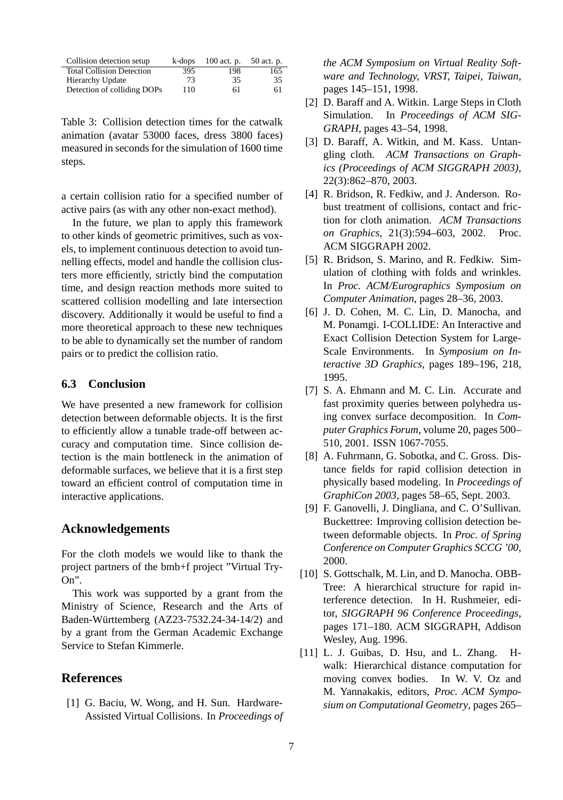| Collision detection setup        | k-dops | $100$ act. p. | 50 act. p. |
|----------------------------------|--------|---------------|------------|
| <b>Total Collision Detection</b> | 395    | 198           | 165        |
| <b>Hierarchy Update</b>          | 73     | 35            | 35         |
| Detection of colliding DOPs      | 110    | 61            | 61         |

Table 3: Collision detection times for the catwalk animation (avatar 53000 faces, dress 3800 faces) measured in seconds for the simulation of 1600 time steps.

a certain collision ratio for a specified number of active pairs (as with any other non-exact method).

In the future, we plan to apply this framework to other kinds of geometric primitives, such as voxels, to implement continuous detection to avoid tunnelling effects, model and handle the collision clusters more efficiently, strictly bind the computation time, and design reaction methods more suited to scattered collision modelling and late intersection discovery. Additionally it would be useful to find a more theoretical approach to these new techniques to be able to dynamically set the number of random pairs or to predict the collision ratio.

#### **6.3 Conclusion**

We have presented a new framework for collision detection between deformable objects. It is the first to efficiently allow a tunable trade-off between accuracy and computation time. Since collision detection is the main bottleneck in the animation of deformable surfaces, we believe that it is a first step toward an efficient control of computation time in interactive applications.

#### **Acknowledgements**

For the cloth models we would like to thank the project partners of the bmb+f project "Virtual Try-On".

This work was supported by a grant from the Ministry of Science, Research and the Arts of Baden-Wurttemberg (AZ23-7532.24-34-14/2) and ¨ by a grant from the German Academic Exchange Service to Stefan Kimmerle.

#### **References**

[1] G. Baciu, W. Wong, and H. Sun. Hardware-Assisted Virtual Collisions. In *Proceedings of* *the ACM Symposium on Virtual Reality Software and Technology, VRST, Taipei, Taiwan*, pages 145–151, 1998.

- [2] D. Baraff and A. Witkin. Large Steps in Cloth Simulation. In *Proceedings of ACM SIG-GRAPH*, pages 43–54, 1998.
- [3] D. Baraff, A. Witkin, and M. Kass. Untangling cloth. *ACM Transactions on Graphics (Proceedings of ACM SIGGRAPH 2003)*, 22(3):862–870, 2003.
- [4] R. Bridson, R. Fedkiw, and J. Anderson. Robust treatment of collisions, contact and friction for cloth animation. *ACM Transactions on Graphics*, 21(3):594–603, 2002. Proc. ACM SIGGRAPH 2002.
- [5] R. Bridson, S. Marino, and R. Fedkiw. Simulation of clothing with folds and wrinkles. In *Proc. ACM/Eurographics Symposium on Computer Animation*, pages 28–36, 2003.
- [6] J. D. Cohen, M. C. Lin, D. Manocha, and M. Ponamgi. I-COLLIDE: An Interactive and Exact Collision Detection System for Large-Scale Environments. In *Symposium on Interactive 3D Graphics*, pages 189–196, 218, 1995.
- [7] S. A. Ehmann and M. C. Lin. Accurate and fast proximity queries between polyhedra using convex surface decomposition. In *Computer Graphics Forum*, volume 20, pages 500– 510, 2001. ISSN 1067-7055.
- [8] A. Fuhrmann, G. Sobotka, and C. Gross. Distance fields for rapid collision detection in physically based modeling. In *Proceedings of GraphiCon 2003*, pages 58–65, Sept. 2003.
- [9] F. Ganovelli, J. Dingliana, and C. O'Sullivan. Buckettree: Improving collision detection between deformable objects. In *Proc. of Spring Conference on Computer Graphics SCCG '00*, 2000.
- [10] S. Gottschalk, M. Lin, and D. Manocha. OBB-Tree: A hierarchical structure for rapid interference detection. In H. Rushmeier, editor, *SIGGRAPH 96 Conference Proceedings*, pages 171–180. ACM SIGGRAPH, Addison Wesley, Aug. 1996.
- [11] L. J. Guibas, D. Hsu, and L. Zhang. Hwalk: Hierarchical distance computation for moving convex bodies. In W. V. Oz and M. Yannakakis, editors, *Proc. ACM Symposium on Computational Geometry*, pages 265–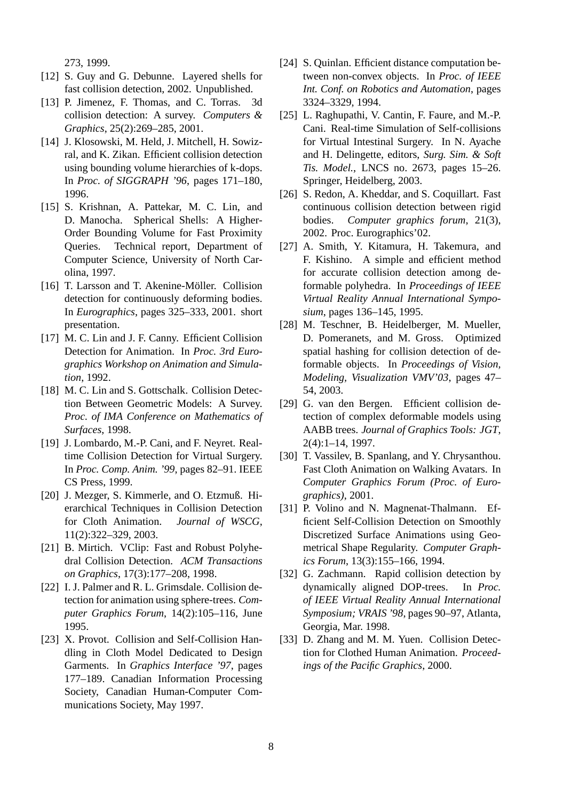273, 1999.

- [12] S. Guy and G. Debunne. Layered shells for fast collision detection, 2002. Unpublished.
- [13] P. Jimenez, F. Thomas, and C. Torras. 3d collision detection: A survey. *Computers & Graphics*, 25(2):269–285, 2001.
- [14] J. Klosowski, M. Held, J. Mitchell, H. Sowizral, and K. Zikan. Efficient collision detection using bounding volume hierarchies of k-dops. In *Proc. of SIGGRAPH '96*, pages 171–180, 1996.
- [15] S. Krishnan, A. Pattekar, M. C. Lin, and D. Manocha. Spherical Shells: A Higher-Order Bounding Volume for Fast Proximity Queries. Technical report, Department of Computer Science, University of North Carolina, 1997.
- [16] T. Larsson and T. Akenine-Möller. Collision detection for continuously deforming bodies. In *Eurographics*, pages 325–333, 2001. short presentation.
- [17] M. C. Lin and J. F. Canny. Efficient Collision Detection for Animation. In *Proc. 3rd Eurographics Workshop on Animation and Simulation*, 1992.
- [18] M. C. Lin and S. Gottschalk. Collision Detection Between Geometric Models: A Survey. *Proc. of IMA Conference on Mathematics of Surfaces*, 1998.
- [19] J. Lombardo, M.-P. Cani, and F. Neyret. Realtime Collision Detection for Virtual Surgery. In *Proc. Comp. Anim. '99*, pages 82–91. IEEE CS Press, 1999.
- [20] J. Mezger, S. Kimmerle, and O. Etzmuß. Hierarchical Techniques in Collision Detection for Cloth Animation. *Journal of WSCG*, 11(2):322–329, 2003.
- [21] B. Mirtich. VClip: Fast and Robust Polyhedral Collision Detection. *ACM Transactions on Graphics*, 17(3):177–208, 1998.
- [22] I. J. Palmer and R. L. Grimsdale. Collision detection for animation using sphere-trees. *Computer Graphics Forum*, 14(2):105–116, June 1995.
- [23] X. Provot. Collision and Self-Collision Handling in Cloth Model Dedicated to Design Garments. In *Graphics Interface '97*, pages 177–189. Canadian Information Processing Society, Canadian Human-Computer Communications Society, May 1997.
- [24] S. Quinlan. Efficient distance computation between non-convex objects. In *Proc. of IEEE Int. Conf. on Robotics and Automation*, pages 3324–3329, 1994.
- [25] L. Raghupathi, V. Cantin, F. Faure, and M.-P. Cani. Real-time Simulation of Self-collisions for Virtual Intestinal Surgery. In N. Ayache and H. Delingette, editors, *Surg. Sim. & Soft Tis. Model.*, LNCS no. 2673, pages 15–26. Springer, Heidelberg, 2003.
- [26] S. Redon, A. Kheddar, and S. Coquillart. Fast continuous collision detection between rigid bodies. *Computer graphics forum*, 21(3), 2002. Proc. Eurographics'02.
- [27] A. Smith, Y. Kitamura, H. Takemura, and F. Kishino. A simple and efficient method for accurate collision detection among deformable polyhedra. In *Proceedings of IEEE Virtual Reality Annual International Symposium*, pages 136–145, 1995.
- [28] M. Teschner, B. Heidelberger, M. Mueller, D. Pomeranets, and M. Gross. Optimized spatial hashing for collision detection of deformable objects. In *Proceedings of Vision, Modeling, Visualization VMV'03*, pages 47– 54, 2003.
- [29] G. van den Bergen. Efficient collision detection of complex deformable models using AABB trees. *Journal of Graphics Tools: JGT*, 2(4):1–14, 1997.
- [30] T. Vassilev, B. Spanlang, and Y. Chrysanthou. Fast Cloth Animation on Walking Avatars. In *Computer Graphics Forum (Proc. of Eurographics)*, 2001.
- [31] P. Volino and N. Magnenat-Thalmann. Efficient Self-Collision Detection on Smoothly Discretized Surface Animations using Geometrical Shape Regularity. *Computer Graphics Forum*, 13(3):155–166, 1994.
- [32] G. Zachmann. Rapid collision detection by dynamically aligned DOP-trees. In *Proc. of IEEE Virtual Reality Annual International Symposium; VRAIS '98*, pages 90–97, Atlanta, Georgia, Mar. 1998.
- [33] D. Zhang and M. M. Yuen. Collision Detection for Clothed Human Animation. *Proceedings of the Pacific Graphics*, 2000.